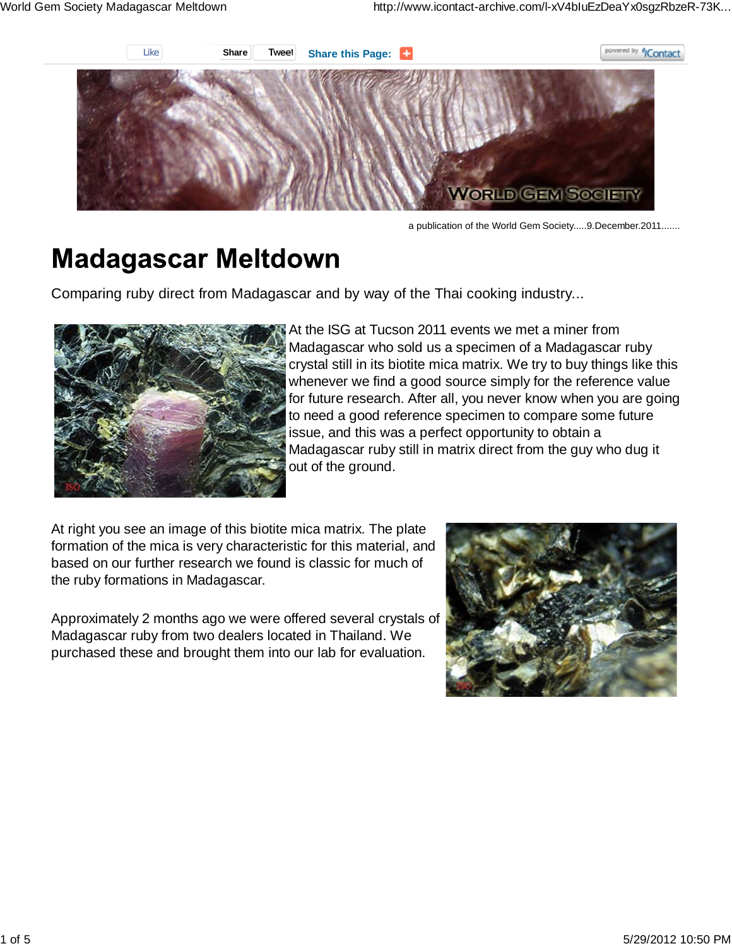

a publication of the World Gem Society.....9.December.2011.......

# **Madagascar Meltdown**

Comparing ruby direct from Madagascar and by way of the Thai cooking industry...



At the ISG at Tucson 2011 events we met a miner from Madagascar who sold us a specimen of a Madagascar ruby crystal still in its biotite mica matrix. We try to buy things like this whenever we find a good source simply for the reference value for future research. After all, you never know when you are going to need a good reference specimen to compare some future issue, and this was a perfect opportunity to obtain a Madagascar ruby still in matrix direct from the guy who dug it out of the ground.

At right you see an image of this biotite mica matrix. The plate formation of the mica is very characteristic for this material, and based on our further research we found is classic for much of the ruby formations in Madagascar.

Approximately 2 months ago we were offered several crystals of Madagascar ruby from two dealers located in Thailand. We purchased these and brought them into our lab for evaluation.

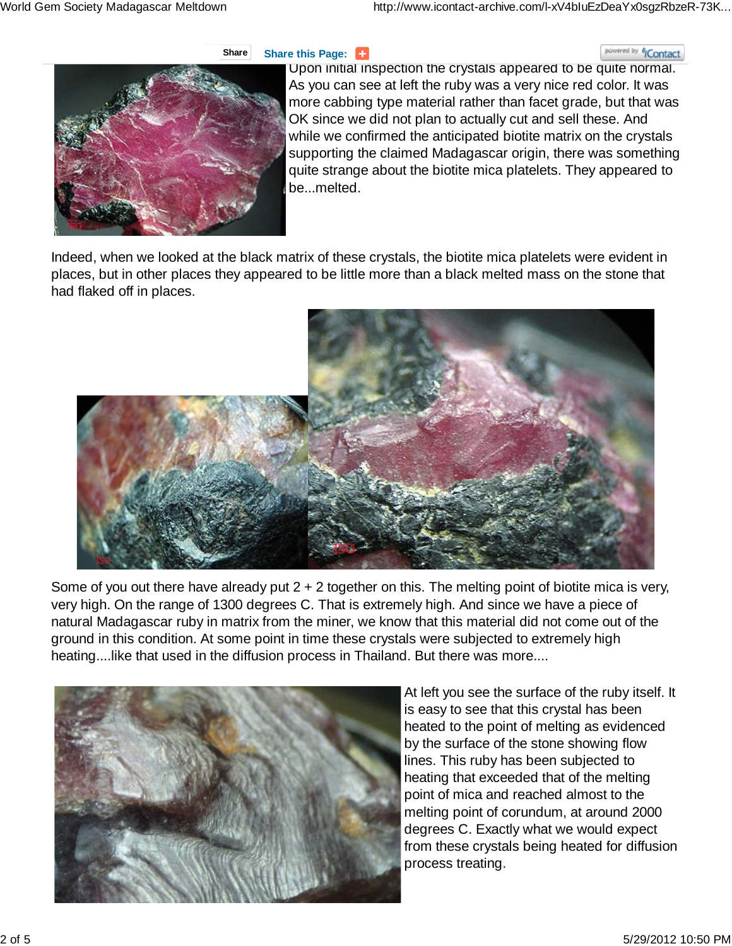### **Share Share** this Page:

#### powered by *<sup>6</sup>/Contact*



Upon initial inspection the crystals appeared to be quite normal. As you can see at left the ruby was a very nice red color. It was more cabbing type material rather than facet grade, but that was OK since we did not plan to actually cut and sell these. And while we confirmed the anticipated biotite matrix on the crystals supporting the claimed Madagascar origin, there was something quite strange about the biotite mica platelets. They appeared to be...melted.

Indeed, when we looked at the black matrix of these crystals, the biotite mica platelets were evident in places, but in other places they appeared to be little more than a black melted mass on the stone that had flaked off in places.



Some of you out there have already put  $2 + 2$  together on this. The melting point of biotite mica is very, very high. On the range of 1300 degrees C. That is extremely high. And since we have a piece of natural Madagascar ruby in matrix from the miner, we know that this material did not come out of the ground in this condition. At some point in time these crystals were subjected to extremely high heating....like that used in the diffusion process in Thailand. But there was more....



At left you see the surface of the ruby itself. It is easy to see that this crystal has been heated to the point of melting as evidenced by the surface of the stone showing flow lines. This ruby has been subjected to heating that exceeded that of the melting point of mica and reached almost to the melting point of corundum, at around 2000 degrees C. Exactly what we would expect from these crystals being heated for diffusion process treating.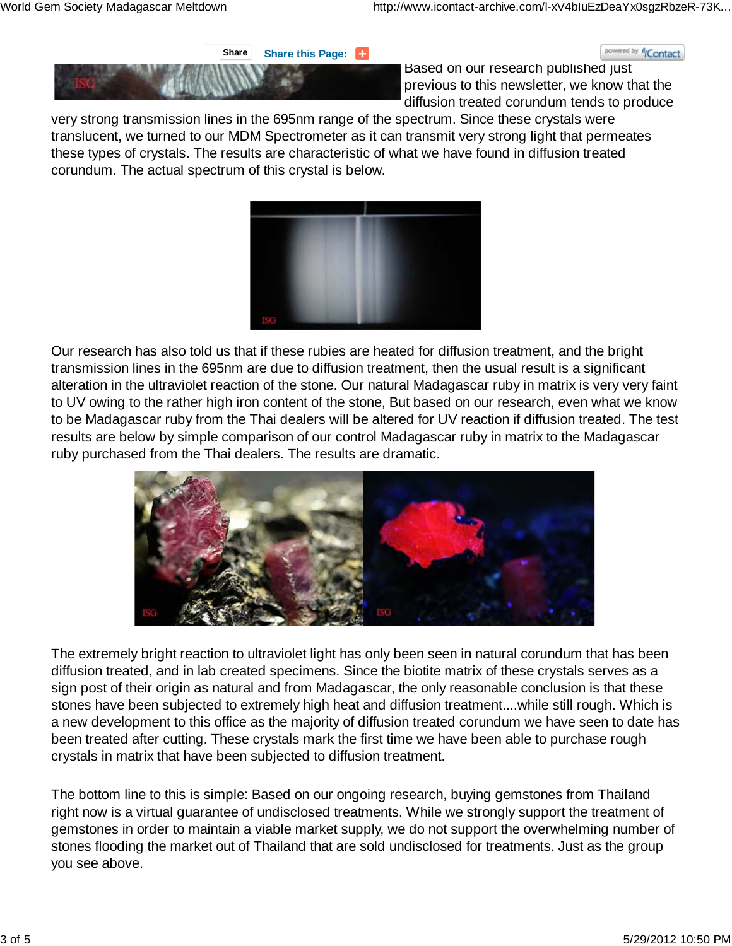**Share Share** this Page:





Based on our research published just previous to this newsletter, we know that the diffusion treated corundum tends to produce

very strong transmission lines in the 695nm range of the spectrum. Since these crystals were translucent, we turned to our MDM Spectrometer as it can transmit very strong light that permeates these types of crystals. The results are characteristic of what we have found in diffusion treated corundum. The actual spectrum of this crystal is below.



Our research has also told us that if these rubies are heated for diffusion treatment, and the bright transmission lines in the 695nm are due to diffusion treatment, then the usual result is a significant alteration in the ultraviolet reaction of the stone. Our natural Madagascar ruby in matrix is very very faint to UV owing to the rather high iron content of the stone, But based on our research, even what we know to be Madagascar ruby from the Thai dealers will be altered for UV reaction if diffusion treated. The test results are below by simple comparison of our control Madagascar ruby in matrix to the Madagascar ruby purchased from the Thai dealers. The results are dramatic.



The extremely bright reaction to ultraviolet light has only been seen in natural corundum that has been diffusion treated, and in lab created specimens. Since the biotite matrix of these crystals serves as a sign post of their origin as natural and from Madagascar, the only reasonable conclusion is that these stones have been subjected to extremely high heat and diffusion treatment....while still rough. Which is a new development to this office as the majority of diffusion treated corundum we have seen to date has been treated after cutting. These crystals mark the first time we have been able to purchase rough crystals in matrix that have been subjected to diffusion treatment.

The bottom line to this is simple: Based on our ongoing research, buying gemstones from Thailand right now is a virtual guarantee of undisclosed treatments. While we strongly support the treatment of gemstones in order to maintain a viable market supply, we do not support the overwhelming number of stones flooding the market out of Thailand that are sold undisclosed for treatments. Just as the group you see above.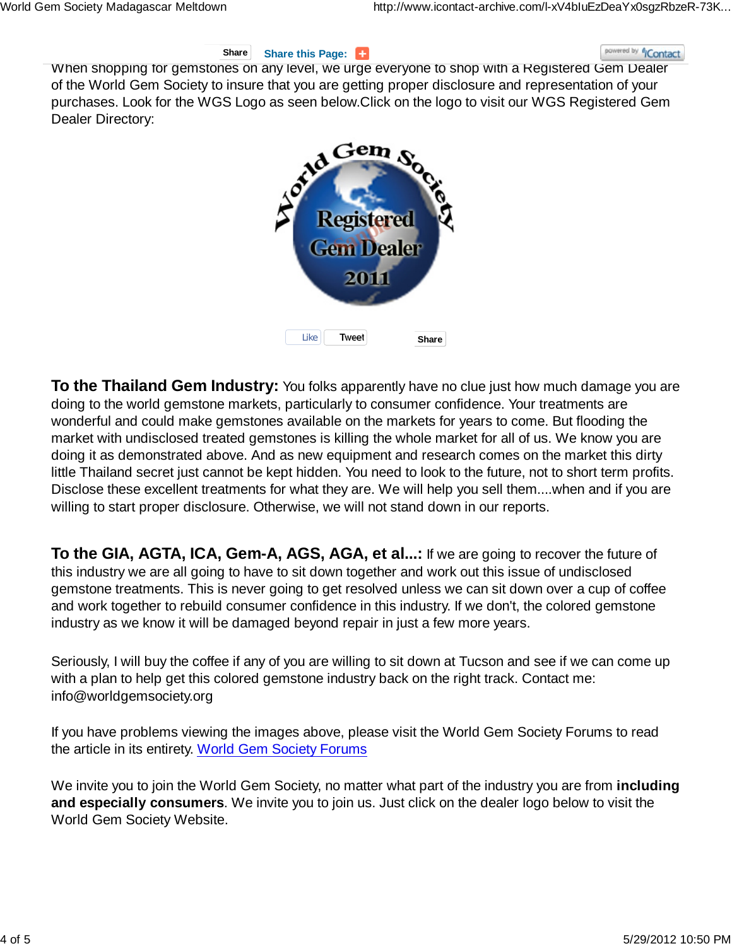#### **Share Share** this Page:

# powered by *<sup>6</sup>i*Contact

When shopping for gemstones on any level, we urge everyone to shop with a Registered Gem Dealer of the World Gem Society to insure that you are getting proper disclosure and representation of your purchases. Look for the WGS Logo as seen below.Click on the logo to visit our WGS Registered Gem Dealer Directory:



**To the Thailand Gem Industry:** You folks apparently have no clue just how much damage you are doing to the world gemstone markets, particularly to consumer confidence. Your treatments are wonderful and could make gemstones available on the markets for years to come. But flooding the market with undisclosed treated gemstones is killing the whole market for all of us. We know you are doing it as demonstrated above. And as new equipment and research comes on the market this dirty little Thailand secret just cannot be kept hidden. You need to look to the future, not to short term profits. Disclose these excellent treatments for what they are. We will help you sell them....when and if you are willing to start proper disclosure. Otherwise, we will not stand down in our reports.

**To the GIA, AGTA, ICA, Gem-A, AGS, AGA, et al...:** If we are going to recover the future of this industry we are all going to have to sit down together and work out this issue of undisclosed gemstone treatments. This is never going to get resolved unless we can sit down over a cup of coffee and work together to rebuild consumer confidence in this industry. If we don't, the colored gemstone industry as we know it will be damaged beyond repair in just a few more years.

Seriously, I will buy the coffee if any of you are willing to sit down at Tucson and see if we can come up with a plan to help get this colored gemstone industry back on the right track. Contact me: info@worldgemsociety.org

If you have problems viewing the images above, please visit the World Gem Society Forums to read the article in its entirety. World Gem Society Forums

We invite you to join the World Gem Society, no matter what part of the industry you are from **including and especially consumers**. We invite you to join us. Just click on the dealer logo below to visit the World Gem Society Website.